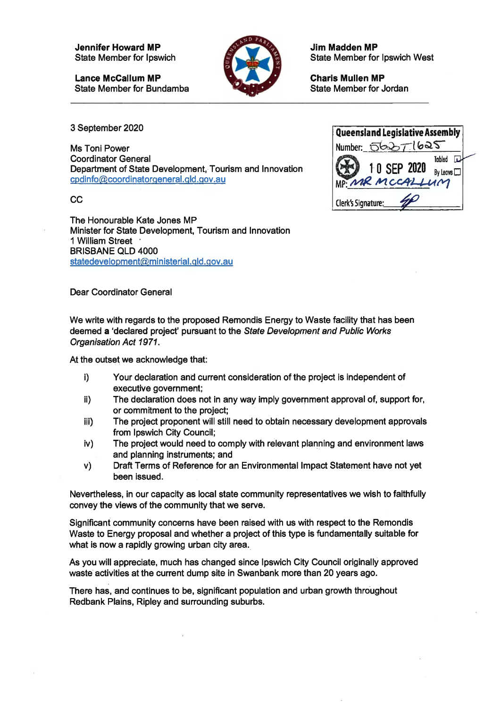**Jennifer Howard MP** State Member for Ipswich

**Lance McCallum MP** State Member for Bundamba



**Jim Madden MP** State Member for Ipswich West

**Charis Mullen MP** State Member for Jordan

3 September 2020

The Honourable Kate Jones MP Minister for State Development, Tourism and Innovation <sup>1</sup> William Street ' BRISBANE OLD 4000 statedevelopment@ministerial.qld.qov.au

Dear Coordinator General

We write with regards to the proposed Remondis Energy to Waste facility that has been deemed a 'declared project' pursuant to the *State Development and Public Works Organisation Act 1971.*

At the outset we acknowledge that:

- i) Your declaration and current consideration of the project is independent of executive government;
- ii) The declaration does not in any way imply government approval of, support for, or commitment to the project;
- iii) The project proponent will still need to obtain necessary development approvals from Ipswich City Council;
- iv) The project would need to comply with relevant planning and environment laws and planning instruments; and
- V) Draft Terms of Reference for an Environmental Impact Statement have not yet been issued.

Nevertheless, in our capacity as local state community representatives we wish to faithfully convey the views of the community that we serve.

Significant community concerns have been raised with us with respect to the Remondis Waste to Energy proposal and whether a project of this type is fundamentally suitable for what is now a rapidly growing urban city area.

As you will appreciate, much has changed since Ipswich City Council originally approved waste activities at the current dump site in Swanbank more than 20 years ago.

There has, and continues to be, significant population and urban growth throughout Redbank Plains, Ripley and surrounding suburbs.

| 3 September 2020                                        | Queensland Legislative Assembly   |
|---------------------------------------------------------|-----------------------------------|
| Ms Toni Power                                           | Number: 56271625                  |
| <b>Coordinator General</b>                              | Tabled                            |
| Department of State Development, Tourism and Innovation | 10 SEP 2020<br>By Leave $\square$ |
| cpdinfo@coordinatorgeneral.gld.gov.au                   | MP: MR MCCALLUM                   |
| СC                                                      | Clerk's Signature:                |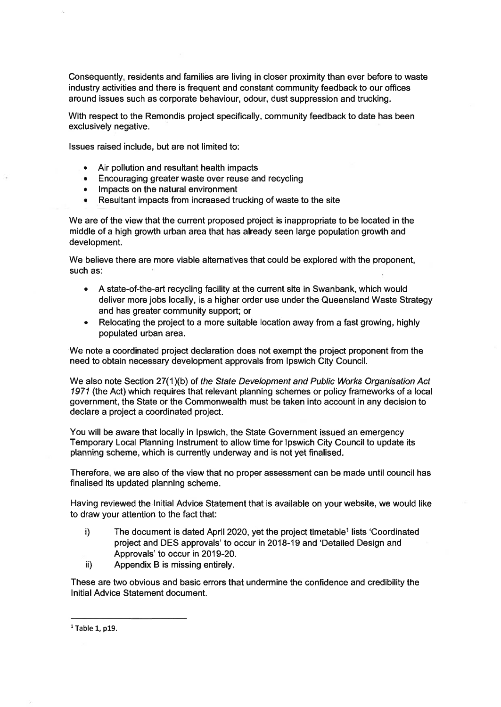Consequently, residents and families are living in closer proximity than ever before to waste industry activities and there is frequent and constant community feedback to our offices around issues such as corporate behaviour, odour, dust suppression and trucking.

With respect to the Remondis project specifically, community feedback to date has been exclusively negative.

Issues raised include, but are not limited to:

- Air pollution and resultant health impacts
- $\bullet$ Encouraging greater waste over reuse and recycling
- Impacts on the natural environment  $\bullet$
- Resultant impacts from increased trucking of waste to the site

We are of the view that the current proposed project is inappropriate to be located in the middle of a high growth urban area that has already seen large population growth and development.

such as: We believe there are more viable alternatives that could be explored with the proponent,

- A state-of-the-art recycling facility at the current site in Swanbank, which would  $\bullet$ deliver more jobs locally, is a higher order use under the Queensland Waste Strategy and has greater community support; or
- Relocating the project to a more suitable location away from a fast growing, highly  $\bullet$ populated urban area.

We note a coordinated project declaration does not exempt the project proponent from the need to obtain necessary development approvals from Ipswich City Council.

We also note Section 27(1 )(b) of *the State Development and Public Works Organisation Act 1971* (the Act) which requires that relevant planning schemes or policy frameworks of a local government, the State or the Commonwealth must be taken into account in any decision to declare a project a coordinated project.

You will be aware that locally in Ipswich, the State Government issued an emergency Temporary Local Planning Instrument to allow time for Ipswich City Council to update its planning scheme, which is currently underway and is not yet finalised.

Therefore, we are also of the view that no proper assessment can be made until council has finalised its updated planning scheme.

Having reviewed the Initial Advice Statement that is available on your website, we would like to draw your attention to the fact that:

- i) The document is dated April 2020, yet the project timetable<sup>1</sup> lists 'Coordinated project and DES approvals' to occur in 2018-19 and 'Detailed Design and Approvals' to occur in 2019-20.
- ii) Appendix B is missing entirely.

These are two obvious and basic errors that undermine the confidence and credibility the Initial Advice Statement document.

 $<sup>1</sup>$  Table 1, p19.</sup>